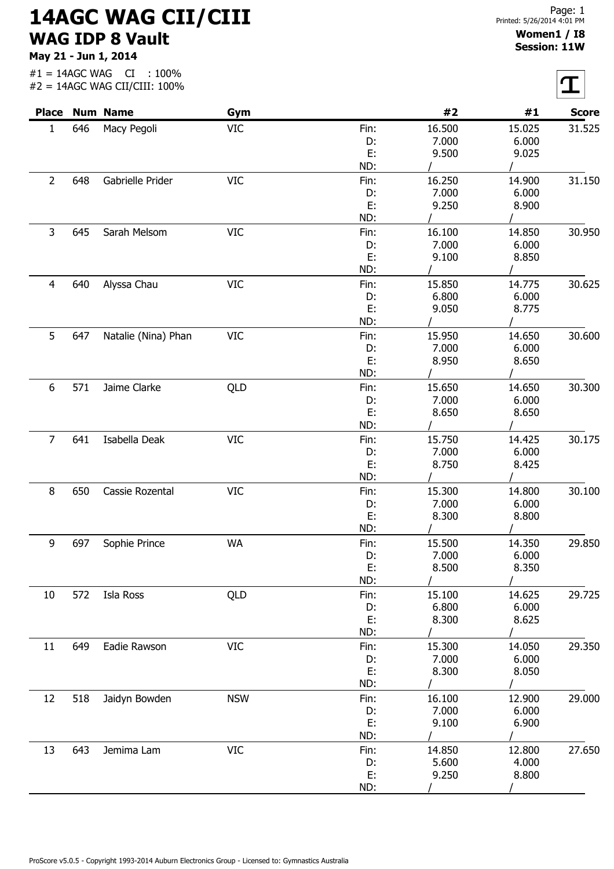## 14AGC WAG CII/CIII WAG IDP 8 Vault

May 21 - Jun 1, 2014

|                |     | <b>Place Num Name</b> | Gym        |          | #2             | #1             | <b>Score</b> |
|----------------|-----|-----------------------|------------|----------|----------------|----------------|--------------|
| $\mathbf{1}$   | 646 | Macy Pegoli           | VIC        | Fin:     | 16.500         | 15.025         | 31.525       |
|                |     |                       |            | D:       | 7.000          | 6.000          |              |
|                |     |                       |            | E:       | 9.500          | 9.025          |              |
|                |     |                       |            | ND:      |                |                |              |
| $\overline{2}$ | 648 | Gabrielle Prider      | <b>VIC</b> | Fin:     | 16.250         | 14.900         | 31.150       |
|                |     |                       |            | D:       | 7.000          | 6.000          |              |
|                |     |                       |            | E:       | 9.250          | 8.900          |              |
|                |     |                       |            | ND:      |                |                |              |
| 3              | 645 | Sarah Melsom          | <b>VIC</b> | Fin:     | 16.100         | 14.850         | 30.950       |
|                |     |                       |            | D:       | 7.000          | 6.000          |              |
|                |     |                       |            | E:       | 9.100          | 8.850          |              |
|                |     |                       |            | ND:      |                |                |              |
| 4              | 640 | Alyssa Chau           | <b>VIC</b> | Fin:     | 15.850         | 14.775         | 30.625       |
|                |     |                       |            | D:       | 6.800          | 6.000          |              |
|                |     |                       |            | E:       | 9.050          | 8.775          |              |
|                |     |                       |            | ND:      |                |                |              |
| 5              | 647 | Natalie (Nina) Phan   | <b>VIC</b> | Fin:     | 15.950         | 14.650         | 30.600       |
|                |     |                       |            | D:       | 7.000          | 6.000          |              |
|                |     |                       |            | E:       | 8.950          | 8.650          |              |
|                |     |                       |            | ND:      |                |                |              |
| 6              | 571 | Jaime Clarke          | QLD        | Fin:     | 15.650         | 14.650         | 30.300       |
|                |     |                       |            | D:       | 7.000          | 6.000          |              |
|                |     |                       |            | E:       | 8.650          | 8.650          |              |
|                |     |                       |            | ND:      |                |                |              |
| $\overline{7}$ | 641 | Isabella Deak         | <b>VIC</b> | Fin:     | 15.750         | 14.425         | 30.175       |
|                |     |                       |            | D:       | 7.000          | 6.000          |              |
|                |     |                       |            | Ε.       | 8.750          | 8.425          |              |
|                |     |                       |            | ND:      |                |                |              |
| 8              | 650 | Cassie Rozental       | <b>VIC</b> | Fin:     | 15.300         | 14.800         | 30.100       |
|                |     |                       |            | D:       | 7.000          | 6.000          |              |
|                |     |                       |            | E:       | 8.300          | 8.800          |              |
|                |     |                       |            | ND:      | $\mathcal{L}$  | $\mathcal{L}$  |              |
| 9              | 697 | Sophie Prince         | <b>WA</b>  | Fin:     | 15.500         | 14.350         | 29.850       |
|                |     |                       |            | D:       | 7.000          | 6.000          |              |
|                |     |                       |            | E:       | 8.500          | 8.350          |              |
|                |     |                       |            | ND:      |                |                |              |
| 10             | 572 | Isla Ross             | QLD        | Fin:     | 15.100         | 14.625         | 29.725       |
|                |     |                       |            | D:       | 6.800          | 6.000          |              |
|                |     |                       |            | E:       | 8.300          | 8.625          |              |
|                |     |                       |            | ND:      |                |                |              |
| 11             | 649 | Eadie Rawson          | <b>VIC</b> | Fin:     | 15.300         | 14.050         | 29.350       |
|                |     |                       |            | D:       | 7.000          | 6.000          |              |
|                |     |                       |            | E:       | 8.300          | 8.050          |              |
|                |     |                       |            | ND:      |                |                |              |
| 12             | 518 | Jaidyn Bowden         | <b>NSW</b> | Fin:     | 16.100         | 12.900         | 29.000       |
|                |     |                       |            | D:       | 7.000          | 6.000          |              |
|                |     |                       |            | E:       | 9.100          | 6.900          |              |
|                |     |                       |            | ND:      |                |                |              |
|                |     |                       |            |          |                |                |              |
|                |     |                       |            |          |                |                |              |
| 13             | 643 | Jemima Lam            | <b>VIC</b> | Fin:     | 14.850         | 12.800         | 27.650       |
|                |     |                       |            | D:<br>E: | 5.600<br>9.250 | 4.000<br>8.800 |              |